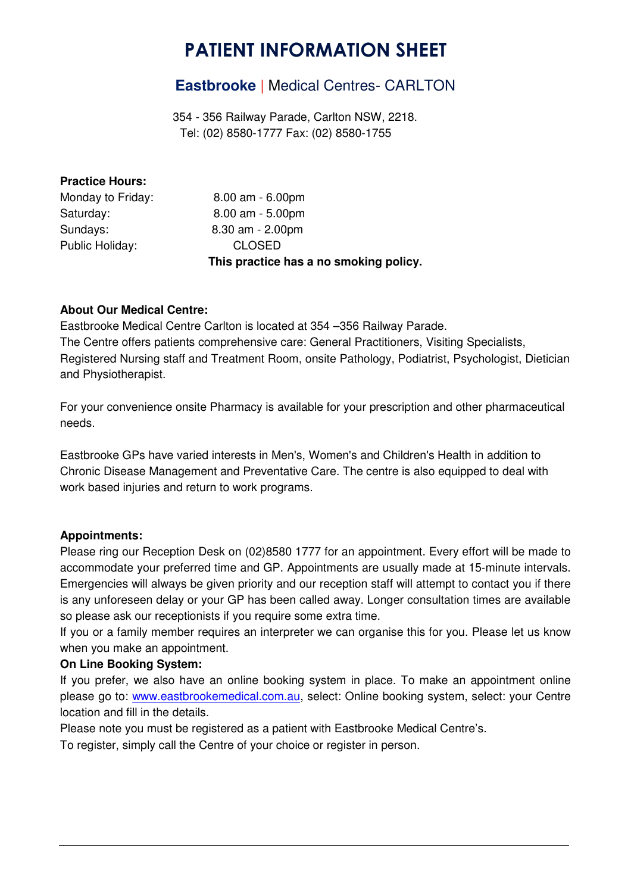# PATIENT INFORMATION SHEET

## **Eastbrooke** | Medical Centres- CARLTON

 354 - 356 Railway Parade, Carlton NSW, 2218. Tel: (02) 8580-1777 Fax: (02) 8580-1755

## **Practice Hours:**

|                   | This practice has a no smoking policy. |
|-------------------|----------------------------------------|
| Public Holiday:   | <b>CLOSED</b>                          |
| Sundays:          | $8.30$ am $- 2.00$ pm                  |
| Saturday:         | $8.00$ am $-5.00$ pm                   |
| Monday to Friday: | $8.00$ am $-6.00$ pm                   |

## **About Our Medical Centre:**

Eastbrooke Medical Centre Carlton is located at 354 –356 Railway Parade. The Centre offers patients comprehensive care: General Practitioners, Visiting Specialists, Registered Nursing staff and Treatment Room, onsite Pathology, Podiatrist, Psychologist, Dietician and Physiotherapist.

For your convenience onsite Pharmacy is available for your prescription and other pharmaceutical needs.

Eastbrooke GPs have varied interests in Men's, Women's and Children's Health in addition to Chronic Disease Management and Preventative Care. The centre is also equipped to deal with work based injuries and return to work programs.

## **Appointments:**

Please ring our Reception Desk on (02)8580 1777 for an appointment. Every effort will be made to accommodate your preferred time and GP. Appointments are usually made at 15-minute intervals. Emergencies will always be given priority and our reception staff will attempt to contact you if there is any unforeseen delay or your GP has been called away. Longer consultation times are available so please ask our receptionists if you require some extra time.

If you or a family member requires an interpreter we can organise this for you. Please let us know when you make an appointment.

#### **On Line Booking System:**

If you prefer, we also have an online booking system in place. To make an appointment online please go to: www.eastbrookemedical.com.au, select: Online booking system, select: your Centre location and fill in the details.

Please note you must be registered as a patient with Eastbrooke Medical Centre's. To register, simply call the Centre of your choice or register in person.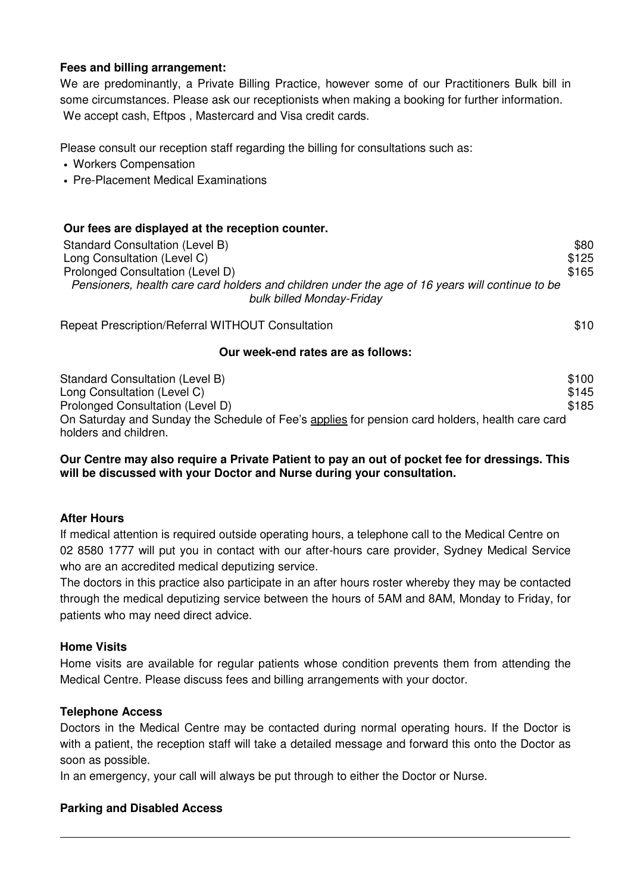#### **Fees and billing arrangement:**

We are predominantly, a Private Billing Practice, however some of our Practitioners Bulk bill in some circumstances. Please ask our receptionists when making a booking for further information. We accept cash, Eftpos , Mastercard and Visa credit cards.

Please consult our reception staff regarding the billing for consultations such as:

- Workers Compensation
- Pre-Placement Medical Examinations

| Our fees are displayed at the reception counter.                                                |       |
|-------------------------------------------------------------------------------------------------|-------|
| Standard Consultation (Level B)                                                                 | \$80  |
| Long Consultation (Level C)                                                                     | \$125 |
| Prolonged Consultation (Level D)                                                                |       |
| Pensioners, health care card holders and children under the age of 16 years will continue to be |       |
| bulk billed Monday-Friday                                                                       |       |
| Repeat Prescription/Referral WITHOUT Consultation                                               | \$10  |

#### **Our week-end rates are as follows:**

| Standard Consultation (Level B)                                                                 | \$100 |
|-------------------------------------------------------------------------------------------------|-------|
| Long Consultation (Level C)                                                                     | \$145 |
| Prolonged Consultation (Level D)                                                                | \$185 |
| On Saturday and Sunday the Schedule of Fee's applies for pension card holders, health care card |       |
| holders and children.                                                                           |       |

#### **Our Centre may also require a Private Patient to pay an out of pocket fee for dressings. This will be discussed with your Doctor and Nurse during your consultation.**

#### **After Hours**

If medical attention is required outside operating hours, a telephone call to the Medical Centre on 02 8580 1777 will put you in contact with our after-hours care provider, Sydney Medical Service who are an accredited medical deputizing service.

The doctors in this practice also participate in an after hours roster whereby they may be contacted through the medical deputizing service between the hours of 5AM and 8AM, Monday to Friday, for patients who may need direct advice.

#### **Home Visits**

Home visits are available for regular patients whose condition prevents them from attending the Medical Centre. Please discuss fees and billing arrangements with your doctor.

#### **Telephone Access**

Doctors in the Medical Centre may be contacted during normal operating hours. If the Doctor is with a patient, the reception staff will take a detailed message and forward this onto the Doctor as soon as possible.

In an emergency, your call will always be put through to either the Doctor or Nurse.

#### **Parking and Disabled Access**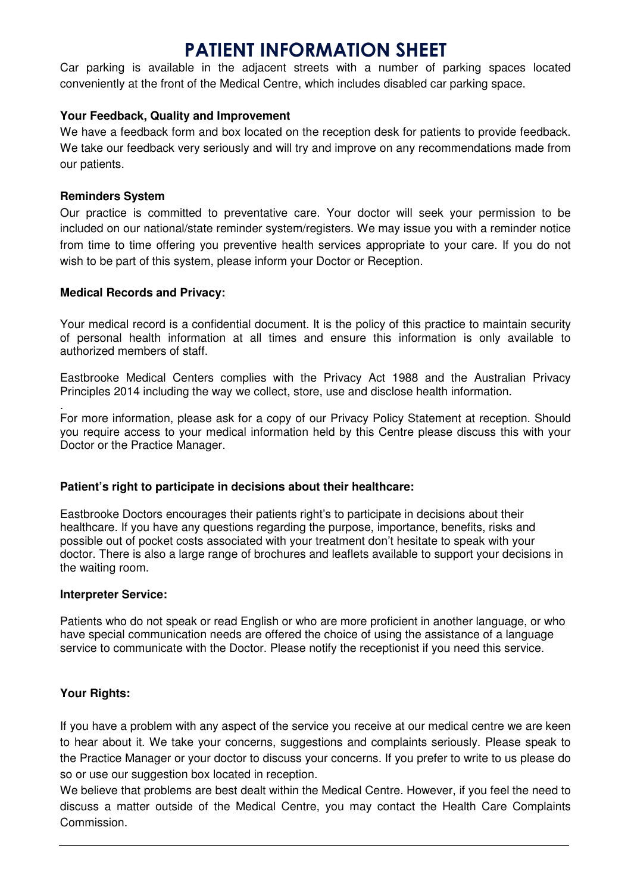## PATIENT INFORMATION SHEET

Car parking is available in the adjacent streets with a number of parking spaces located conveniently at the front of the Medical Centre, which includes disabled car parking space.

## **Your Feedback, Quality and Improvement**

We have a feedback form and box located on the reception desk for patients to provide feedback. We take our feedback very seriously and will try and improve on any recommendations made from our patients.

#### **Reminders System**

Our practice is committed to preventative care. Your doctor will seek your permission to be included on our national/state reminder system/registers. We may issue you with a reminder notice from time to time offering you preventive health services appropriate to your care. If you do not wish to be part of this system, please inform your Doctor or Reception.

## **Medical Records and Privacy:**

Your medical record is a confidential document. It is the policy of this practice to maintain security of personal health information at all times and ensure this information is only available to authorized members of staff.

Eastbrooke Medical Centers complies with the Privacy Act 1988 and the Australian Privacy Principles 2014 including the way we collect, store, use and disclose health information.

. For more information, please ask for a copy of our Privacy Policy Statement at reception. Should you require access to your medical information held by this Centre please discuss this with your Doctor or the Practice Manager.

## **Patient's right to participate in decisions about their healthcare:**

Eastbrooke Doctors encourages their patients right's to participate in decisions about their healthcare. If you have any questions regarding the purpose, importance, benefits, risks and possible out of pocket costs associated with your treatment don't hesitate to speak with your doctor. There is also a large range of brochures and leaflets available to support your decisions in the waiting room.

#### **Interpreter Service:**

Patients who do not speak or read English or who are more proficient in another language, or who have special communication needs are offered the choice of using the assistance of a language service to communicate with the Doctor. Please notify the receptionist if you need this service.

## **Your Rights:**

If you have a problem with any aspect of the service you receive at our medical centre we are keen to hear about it. We take your concerns, suggestions and complaints seriously. Please speak to the Practice Manager or your doctor to discuss your concerns. If you prefer to write to us please do so or use our suggestion box located in reception.

We believe that problems are best dealt within the Medical Centre. However, if you feel the need to discuss a matter outside of the Medical Centre, you may contact the Health Care Complaints Commission.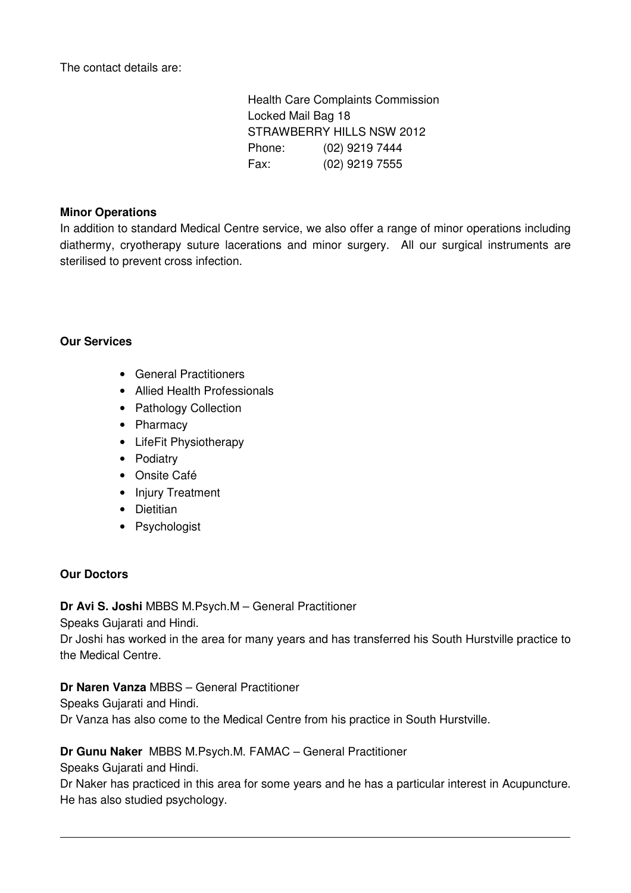The contact details are:

 Health Care Complaints Commission Locked Mail Bag 18 STRAWBERRY HILLS NSW 2012 Phone: (02) 9219 7444 Fax: (02) 9219 7555

## **Minor Operations**

In addition to standard Medical Centre service, we also offer a range of minor operations including diathermy, cryotherapy suture lacerations and minor surgery. All our surgical instruments are sterilised to prevent cross infection.

## **Our Services**

- General Practitioners
- Allied Health Professionals
- Pathology Collection
- Pharmacy
- LifeFit Physiotherapy
- Podiatry
- Onsite Café
- Injury Treatment
- Dietitian
- Psychologist

## **Our Doctors**

**Dr Avi S. Joshi** MBBS M.Psych.M – General Practitioner

Speaks Gujarati and Hindi.

Dr Joshi has worked in the area for many years and has transferred his South Hurstville practice to the Medical Centre.

## **Dr Naren Vanza** MBBS – General Practitioner

Speaks Gujarati and Hindi.

Dr Vanza has also come to the Medical Centre from his practice in South Hurstville.

## **Dr Gunu Naker** MBBS M.Psych.M. FAMAC – General Practitioner

Speaks Gujarati and Hindi.

Dr Naker has practiced in this area for some years and he has a particular interest in Acupuncture. He has also studied psychology.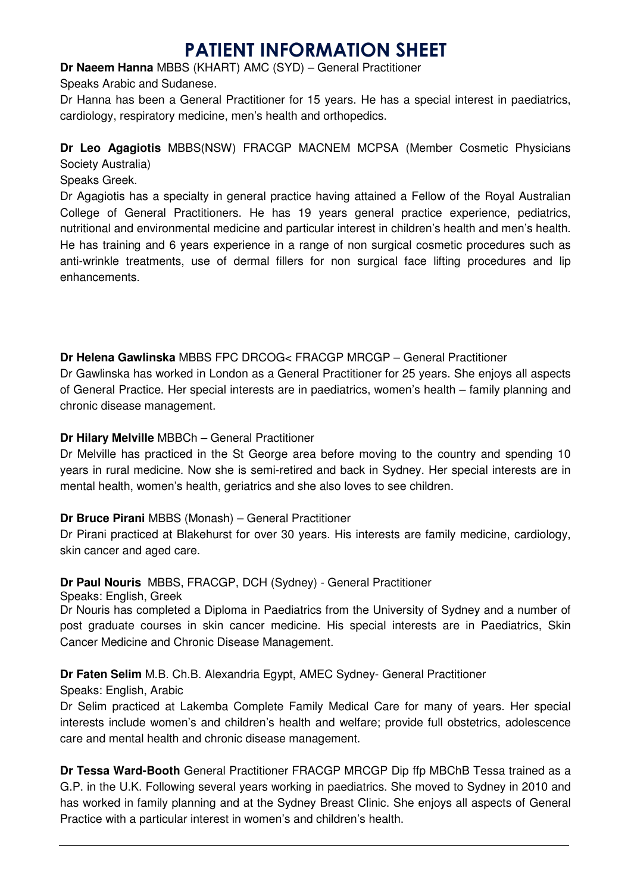# PATIENT INFORMATION SHEET

**Dr Naeem Hanna** MBBS (KHART) AMC (SYD) – General Practitioner

Speaks Arabic and Sudanese.

Dr Hanna has been a General Practitioner for 15 years. He has a special interest in paediatrics, cardiology, respiratory medicine, men's health and orthopedics.

## **Dr Leo Agagiotis** MBBS(NSW) FRACGP MACNEM MCPSA (Member Cosmetic Physicians

Society Australia)

Speaks Greek.

Dr Agagiotis has a specialty in general practice having attained a Fellow of the Royal Australian College of General Practitioners. He has 19 years general practice experience, pediatrics, nutritional and environmental medicine and particular interest in children's health and men's health. He has training and 6 years experience in a range of non surgical cosmetic procedures such as anti-wrinkle treatments, use of dermal fillers for non surgical face lifting procedures and lip enhancements.

**Dr Helena Gawlinska** MBBS FPC DRCOG< FRACGP MRCGP – General Practitioner

Dr Gawlinska has worked in London as a General Practitioner for 25 years. She enjoys all aspects of General Practice. Her special interests are in paediatrics, women's health – family planning and chronic disease management.

## **Dr Hilary Melville** MBBCh – General Practitioner

Dr Melville has practiced in the St George area before moving to the country and spending 10 years in rural medicine. Now she is semi-retired and back in Sydney. Her special interests are in mental health, women's health, geriatrics and she also loves to see children.

## **Dr Bruce Pirani** MBBS (Monash) – General Practitioner

Dr Pirani practiced at Blakehurst for over 30 years. His interests are family medicine, cardiology, skin cancer and aged care.

## **Dr Paul Nouris** MBBS, FRACGP, DCH (Sydney) - General Practitioner

Speaks: English, Greek

Dr Nouris has completed a Diploma in Paediatrics from the University of Sydney and a number of post graduate courses in skin cancer medicine. His special interests are in Paediatrics, Skin Cancer Medicine and Chronic Disease Management.

**Dr Faten Selim** M.B. Ch.B. Alexandria Egypt, AMEC Sydney- General Practitioner

Speaks: English, Arabic

Dr Selim practiced at Lakemba Complete Family Medical Care for many of years. Her special interests include women's and children's health and welfare; provide full obstetrics, adolescence care and mental health and chronic disease management.

**Dr Tessa Ward-Booth** General Practitioner FRACGP MRCGP Dip ffp MBChB Tessa trained as a G.P. in the U.K. Following several years working in paediatrics. She moved to Sydney in 2010 and has worked in family planning and at the Sydney Breast Clinic. She enjoys all aspects of General Practice with a particular interest in women's and children's health.